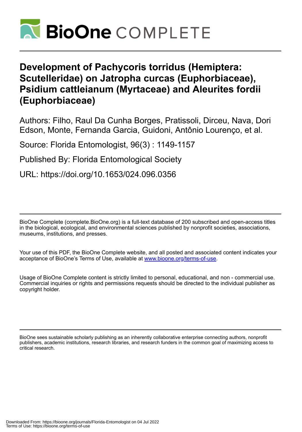

# **Development of Pachycoris torridus (Hemiptera: Scutelleridae) on Jatropha curcas (Euphorbiaceae), Psidium cattleianum (Myrtaceae) and Aleurites fordii (Euphorbiaceae)**

Authors: Filho, Raul Da Cunha Borges, Pratissoli, Dirceu, Nava, Dori Edson, Monte, Fernanda Garcia, Guidoni, Antônio Lourenço, et al.

Source: Florida Entomologist, 96(3) : 1149-1157

Published By: Florida Entomological Society

URL: https://doi.org/10.1653/024.096.0356

BioOne Complete (complete.BioOne.org) is a full-text database of 200 subscribed and open-access titles in the biological, ecological, and environmental sciences published by nonprofit societies, associations, museums, institutions, and presses.

Your use of this PDF, the BioOne Complete website, and all posted and associated content indicates your acceptance of BioOne's Terms of Use, available at www.bioone.org/terms-of-use.

Usage of BioOne Complete content is strictly limited to personal, educational, and non - commercial use. Commercial inquiries or rights and permissions requests should be directed to the individual publisher as copyright holder.

BioOne sees sustainable scholarly publishing as an inherently collaborative enterprise connecting authors, nonprofit publishers, academic institutions, research libraries, and research funders in the common goal of maximizing access to critical research.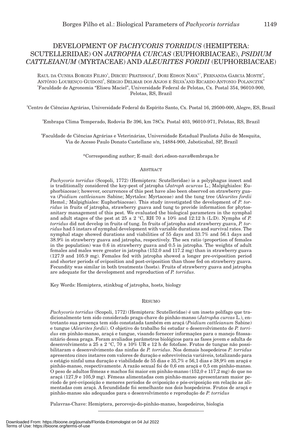# DEVELOPMENT OF *PACHYCORIS TORRIDUS* (HEMIPTERA: SCUTELLERIDAE) ON *JATROPHA CURCAS* (EUPHORBIACEAE), *PSIDIUM CATTLEIANUM* (MYRTACEAE) AND *ALEURITES FORDII* (EUPHORBIACEAE)

RAUL DA CUNHA BORGES FILHO<sup>1</sup>, DIRCEU PRATISSOLI<sup>2</sup>, DORI EDSON NAVA<sup>3,\*</sup>, FERNANDA GARCIA MONTE<sup>3</sup>, ANTÔNIO LOURENÇO GUIDONI<sup>3</sup>, SÉRGIO DELMAR DOS ANJOS E SILVA<sup>3</sup>AND RICARDO ANTONIO POLANCZYK<sup>4</sup> 1 Faculdade de Agronomia "Eliseu Maciel", Universidade Federal de Pelotas, Cx. Postal 354, 96010-900, Pelotas, RS, Brazil

2 Centro de Ciências Agrárias, Universidade Federal do Espírito Santo, Cx. Postal 16, 29500-000, Alegre, ES, Brazil

3 Embrapa Clima Temperado, Rodovia Br 396, km 78Cx. Postal 403, 96010-971, Pelotas, RS, Brazil

4 Faculdade de Ciências Agrárias e Veterinárias, Universidade Estadual Paulista Júlio de Mesquita, Via de Acesso Paulo Donato Castellane s/n, 14884-900, Jaboticabal, SP, Brazil

\*Corresponding author; E-mail: dori.edson-nava@embrapa.br

# ABSTRACT

*Pachycoris torridus* (Scopoli, 1772) (Hemiptera: Scutelleridae) is a polyphagus insect and is traditionally considered the key-pest of jatropha (*Jatroph acurcas* L.; Malpighiales: Euphorbiaceae); however, occurrences of this pest have also been observed on strawberry guava (*Psidium cattleianum* Sabine; Myrtales: Myrtaceae) and the tung tree (*Aleurites fordii*  Hemsl.*;* Malpighiales: Euphorbiaceae). This study investigated the development of *P. torridus* in fruits of jatropha, strawberry guava and tung to provide information for phytosanitary management of this pest. We evaluated the biological parameters in the nymphal and adult stages of the pest at  $25 \pm 2$  °C, RH 70  $\pm$  10% and 12:12 h (L:D). Nymphs of *P*. *torridus* did not develop in fruits of tung. In fruits of jatropha and strawberry guava, *P. torridus* had 5 instars of nymphal development with variable durations and survival rates. The nymphal stage showed durations and viabilities of 55 days and 33.7% and 56.1 days and 38.9% in strawberry guava and jatropha, respectively. The sex ratio (proportion of females in the population) was 0.6 in strawberry guava and 0.5 in jatropha. The weights of adult females and males were greater in jatropha (152.0 and 117.2 mg) than in strawberry guava (127.9 and 105.9 mg). Females fed with jatropha showed a longer pre-oviposition period and shorter periods of oviposition and post-oviposition than those fed on strawberry guava. Fecundity was similar in both treatments (hosts). Fruits of strawberry guava and jatropha are adequate for the development and reproduction of *P. torridus*.

Key Words: Hemiptera, stinkbug of jatropha, hosts, biology

### RESUMO

*Pachycoris torridus* (Scopoli, 1772) (Hemiptera: Scutelleridae) é um inseto polífago que tradicionalmente tem sido considerado praga-chave do pinhão-manso (*Jatropha curcas* L.), entretanto sua presença tem sido constatada também em araçá (*Psidium cattleianum* Sabine) e tungue (*Aleurites fordii*). O objetivo do trabalho foi estudar o desenvolvimento de *P. torridus* em pinhão-manso, araçá e tungue, visando fornecer informações para o manejo fitossanitário dessa praga. Foram avaliados parâmetros biológicos para as fases jovem e adulta de desenvolvimento a 25 ± 2 °C, 70 ± 10% UR e 12 h de fotofase. Frutos de tungue não possibilitaram o desenvolvimento das ninfas de *P. torridus*. Nos demais hospedeiros *P. torridus*  apresentou cinco instares com valores de duração e sobrevivência variáveis, totalizando para o estágio ninfal uma duração e viabilidade de 55 dias e 35,7% e 56,1 dias e 38,9% em araçá e pinhão-manso, respectivamente. A razão sexual foi de 0,6 em araçá e 0,5 em pinhão-manso. O peso de adultos fêmeas e machos foi maior em pinhão-manso (152,0 e 117,2 mg) do que no araçá (127,9 e 105,9 mg). Fêmeas alimentadas com pinhão-manso apresentaram maior período de pré-oviposição e menores períodos de oviposição e pós-oviposição em relação as alimentadas com araçá. A fecundidade foi semelhante nos dois hospedeiros. Frutos de araçá e pinhão-manso são adequados para o desenvolvimento e reprodução de *P. torridus*

Palavras-Chave: Hemiptera, percevejo-do-pinhão-manso, hospedeiros, biologia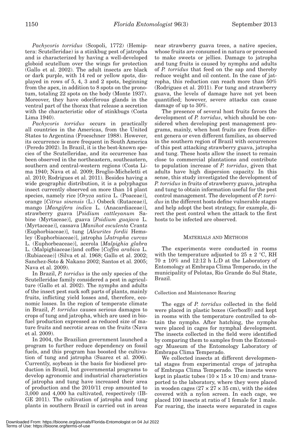*Pachycoris torridus* (Scopoli, 1772) (Hemiptera: Scutelleridae) is a stinkbug pest of jatropha and is characterized by having a well-developed globoid scutellum over the wings for protection (Gallo et al. 2002). The adult insects are black or dark purple, with 14 red or yellow spots, displayed in rows of 5, 4, 3 and 2 spots, beginning from the apex, in addition to 8 spots on the pronotum, totaling 22 spots on the body (Monte 1937). Moreover, they have odoriferous glands in the ventral part of the thorax that release a secretion with the characteristic odor of stinkbugs (Costa Lima 1940).

*Pachycoris torridus* occurs in practically all countries in the Americas, from the United States to Argentina (Froeschner 1988). However, its occurrence is more frequent in South America (Peredo 2002). In Brazil, it is the best-known species of the Scutelleridae, and its occurrence has been observed in the northeastern, southeastern, southern and central-western regions (Costa Lima 1940; Nava et al. 2009; Broglio-Micheletti et al. 2010; Rodrigues et al. 2011). Besides having a wide geographic distribution, it is a polyphagus insect currently observed on more than 14 plant species, namely rice [*Oryza sativa* L. (Poaceae)], orange [*Citrus sinensis* (L.) Osbeck (Rutaceae)], mango [*Mangifera indica* L. (Anacardiaceae)], strawberry guava [*Psidium cattleyanum* Sabine (Myrtaceae)], guava [*Psidium guajava* L. (Myrtaceae)], cassava [*Manihot esculenta* Crantz (Euphorbiaceae)], tung [*Aleurites fordii* Hemsley (Euphorbiaceae)], jatropha [*Jatropha curcas* L. (Euphorbeaceae)], acerola [*Malpighia glabra* L. (Malpighiaceae)]and coffee [*Coffea arabica* L. (Rubiaceae)] (Silva et al. 1968; Gallo et al. 2002; Sanchez-Soto & Nakano 2002; Santos et al. 2005; Nava et al. 2009).

In Brazil, *P. torridus* is the only species of the Scutelleridae family considered a pest in agriculture (Gallo et al. 2002). The nymphs and adults of the insect pest suck soft parts of plants, mainly fruits, inflicting yield losses and, therefore, economic losses. In the region of temperate climate in Brazil, *P. torridus* causes serious damages to crops of tung and jatropha, which are used in biofuel production expressed as reduced size of mature fruits and necrotic areas on the fruits (Nava et al. 2009).

In 2004, the Brazilian government launched a program to further reduce dependency on fossil fuels, and this program has boosted the cultivation of tung and jatropha (Suarez et al. 2006). Currently, soybean is the basis for biodiesel production in Brazil, but governmental programs to develop agronomic and industrial characteristics of jatropha and tung have increased their area of production and the 2010/11 crop amounted to 3,000 and 4,000 ha cultivated, respectively (IB-GE 2011). The cultivation of jatropha and tung plants in southern Brazil is carried out in areas near strawberry guava trees, a native species, whose fruits are consumed in natura or processed to make sweets or jellies. Damage to jatropha and tung fruits is caused by nymphs and adults of *P. torridus* that feed on the sap and thereby reduce weight and oil content. In the case of jatropha, this reduction can reach more than 50% (Rodrigues et al. 2011). For tung and strawberry guava, the levels of damage have not yet been quantified; however, severe attacks can cause damage of up to 30%.

The presence of several host fruits favors the development of *P. torridus*, which should be considered when developing pest management programs, mainly, when host fruits are from different genera or even different families, as observed in the southern region of Brazil with occurrences of this pest attacking strawberry guava, jatropha and tung. These hosts allow the insect to remain close to commercial plantations and contribute to population increase of *P. torridus*, given that adults have high dispersion capacity. In this sense, this study investigated the development of *P. torridus* in fruits of strawberry guava, jatropha and tung to obtain information useful for the pest control management. The development of *P. torridus* in the different hosts define vulnerable stages and help adopt the best strategy, for example, direct the pest control when the attack to the first hosts to be infected are observed.

# MATERIALS AND METHODS

The experiments were conducted in rooms with the temperature adjusted to  $25 \pm 2$  °C, RH  $70 \pm 10\%$  and 12:12 h L:D at the Laboratory of Entomology at Embrapa Clima Temperado, in the municipality of Pelotas, Rio Grande do Sul State, Brazil.

# Collection and Maintenance Rearing

The eggs of *P. torridus* collected in the field were placed in plastic boxes (Gerbox®) and kept in rooms with the temperature controlled to obtain the nymphs. After hatching, the nymphs were placed in cages for nymphal development. The insects collected in the field were identified by comparing them to samples from the Entomology Museum of the Entomology Laboratory of Embrapa Clima Temperado.

We collected insects at different developmental stages from experimental crops of jatropha of Embrapa Clima Temperado. The insects were kept in plastic tubes  $(10 \times 15 \times 10 \text{ cm})$  and transported to the laboratory, where they were placed in wooden cages  $(27 \times 27 \times 35 \text{ cm})$ , with the sides covered with a nylon screen. In each cage, we placed 100 insects at ratio of 1 female for 1 male. For rearing, the insects were separated in cages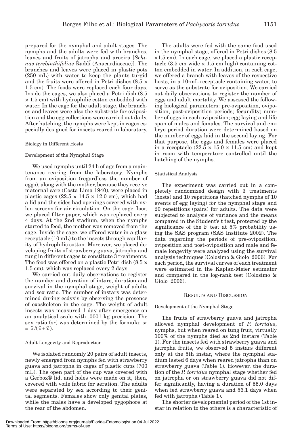prepared for the nymphal and adult stages. The nymphs and the adults were fed with branches, leaves and fruits of jatropha and aroeira [*Schinus terebinthifolius* Raddi (Anacardiaceae)]. The branches and leaves were placed in plastic pots (250 mL) with water to keep the plants turgid and the fruits were offered in Petri dishes (8.5 × 1.5 cm). The foods were replaced each four days. Inside the cages, we also placed a Petri dish (8.5  $\times$  1.5 cm) with hydrophilic cotton embedded with water. In the cage for the adult stage, the branches and leaves were also the substrate for oviposition and the egg collections were carried out daily. After hatching, the nymphs were kept in cages es-

pecially designed for insects reared in laboratory.

#### Biology in Different Hosts

#### Development of the Nymphal Stage

We used nymphs until 24 h of age from a maintenance rearing from the laboratory. Nymphs from an oviposition (regardless the number of eggs), along with the mother, because they receive maternal care (Costa Lima 1940), were placed in plastic cages (22.5  $\times$  14.5  $\times$  12.0 cm), which had a lid and the sides had openings covered with nylon screens for air circulation. On the cage floor, we placed filter paper, which was replaced every 4 days. At the 2nd stadium, when the nymphs started to feed, the mother was removed from the cage. Inside the cage, we offered water in a glass receptacle (10 mL) to the insects through capillarity of hydrophilic cotton. Moreover, we placed developing fruits of strawberry guava, jatropha and tung in different cages to constitute 3 treatments. The food was offered on a plastic Petri dish (8.5 × 1.5 cm), which was replaced every 2 days.

We carried out daily observations to register the number and duration of intars, duration and survival in the nymphal stage, weight of adults and sex ratio. The number of instars was determined during ecdysis by observing the presence of exoskeleton in the cage. The weight of adult insects was measured 1 day after emergence on an analytical scale with .0001 kg precision. The sex ratio (sr) was determined by the formula: sr  $= \frac{9}{9} (9 + 9)$ .

# Adult Longevity and Reproduction

We isolated randomly 20 pairs of adult insects, newly emerged from nymphs fed with strawberry guava and jatropha in cages of plastic cups (700 mL). The open part of the cup was covered with a Gerbox® lid, and holes were made on it, then, covered with voile fabric for aeration. The adults were separated by sex according to their genital segments. Females show only genital plates, while the males have a developed pygophore at the rear of the abdomen.

The adults were fed with the same food used in the nymphal stage, offered in Petri dishes (8.5 ×1.5 cm). In each cage, we placed a plastic receptacle  $(3.5 \text{ cm wide} \times 1.5 \text{ cm high})$  containing cotton embedded in water. In addition, in each cage, we offered a branch with leaves of the respective hosts, in a 10-mL receptacle containing water, to serve as the substrate for oviposition. We carried out daily observations to register the number of eggs and adult mortality. We assessed the following biological parameters: pre-oviposition, oviposition, post-oviposition periods; fecundity; number of eggs in each oviposition; egg laying and life span of males and females. The survival and embryo period duration were determined based on the number of eggs laid in the second laying. For that purpose, the eggs and females were placed in a receptacle  $(22.5 \times 15.0 \times 11.5 \text{ cm})$  and kept in room with temperature controlled until the hatching of the nymphs.

#### Statistical Analysis

The experiment was carried out in a completely randomized design with 3 treatments (hosts) and 10 repetitions (hatched nymphs of 10 events of egg laying) for the nymphal stage and 20 repetitions (pairs) for adults. The data were subjected to analysis of variance and the means compared in the Student's t test, protected by the significance of the F test at 5% probability using the SAS program (SAS Institute 2002). The data regarding the periods of pre-oviposition, oviposition and post-oviposition and male and female longevity were analyzed using the survival analysis techniques (Colosimo & Giolo 2006). For each period, the survival curves of each treatment were estimated in the Kaplan-Meier estimator and compared in the log-rank test (Colosimo & Giolo 2006).

#### RESULTS AND DISCUSSION

# Development of the Nymphal Stage

The fruits of strawberry guava and jatropha allowed nymphal development of *P. torridus*, nymphs, but when reared on tung fruit, virtually 100% of the nymphs died as 2nd instars (Table 1). For the insects fed with strawberry guava and jatropha fruits, we observed 5 instars different only at the 5th instar, where the nymphal stadium lasted 6 days when reared jatropha than on strawberry guava (Table 1). However, the duration of the *P. torridus* nymphal stage whether fed on jatropha or on strawberry guava did not differ significantly, having a duration of 55.0 days when fed strawberry guava and 56.1 days when fed with jatropha (Table 1).

The shorter developmental period of the 1st instar in relation to the others is a characteristic of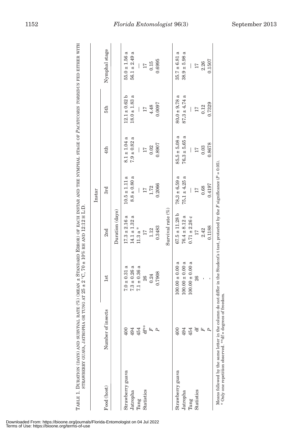|                  |                   |                     |                    | Instar            |                                           |                      |                      |
|------------------|-------------------|---------------------|--------------------|-------------------|-------------------------------------------|----------------------|----------------------|
| Food (host)      | Number of insects | 1st                 | 2nd                | 3rd               | 4th                                       | 5th                  | Nymphal stage        |
|                  |                   |                     | Duration (days)    |                   |                                           |                      |                      |
| Strawberry guava | 400               | $7.0 \pm 0.31$ a    | $17.3 \pm 2.16$ a  | $10.5 \pm 1.11$ a | $8.1 \pm 1.04$ a                          | $12.1 \pm 0.62 b$    | $55.0 \pm 1.56$ a    |
| Jatropha         | 494               | $7.3 \pm 0.26$ a    | $14.1 \pm 1.32$ a  | $8.8 \pm 0.80$ a  | $7.9 \pm 0.82$ a                          | $18.0 \pm 1.83$ a    | a<br>$56.1 \pm 2.49$ |
| Tung             | 454               | $7.1 \pm 0.36$ a    | $11.3a*$           | $\mid$            | $\bigg $                                  | I                    | I                    |
| Statistics       | df**              | 26                  | 17                 | 17                |                                           | 17                   | 17                   |
|                  | F                 | 0.24                | 1.12               | 1.72              | $\begin{array}{c} 17 \\ 0.02 \end{array}$ | 4.48                 | 0.15                 |
|                  | P                 | 0.7908              | 0.3483             | 0.2066            | 0.8907                                    | 0.0097               | 0.6995               |
|                  |                   |                     | Survival rate (%)  |                   |                                           |                      |                      |
| Strawberry guava |                   | $100.00 \pm 0.00 a$ | $67.5 \pm 11.28$ b | $78.3 \pm 6.59$ a | $85.5 \pm 5.08$ a                         | ದ<br>$80.0 \pm 9.78$ | a<br>$35.7 \pm 6.81$ |
| Jatropha         | 494               | $100.00 \pm 0.00 a$ | $76.4 \pm 8.12$ a  | $75.1 \pm 4.25$ a | $76.3 \pm 5.65$ a                         | $87.3 \pm 4.74$ a    | $38.9 \pm 5.98$ a    |
| Tung             | 454               | $100.00 \pm 0.00 a$ | $0.71 \pm 2.26$ c  | I                 |                                           | I                    |                      |
| Statistics       |                   | 26                  | 17                 | 17                | 17                                        | 17                   | 17                   |
|                  | F                 | ı                   | 2.42               | 0.68              | 0.03                                      | 0.12                 | 2.26                 |
|                  |                   | ı                   | 0.1188             | 0.4197            | 0.8678                                    | 0.7329               | 0.1507               |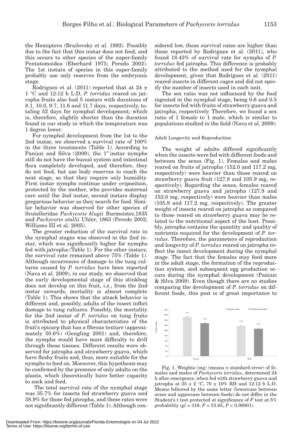the Hemiptera (Brailovsky et al. 1992). Possibly due to the fact that this instar does not feed, and this occurs to other species of the super-family Pentatomoidea (Eberhard 1975; Peredo 2002). The 1st instars of species in this super-family probably use only reserves from the embryonic stage.

Rodrigues et al. (2011) reported that at 24  $\pm$ 1 °C and 12:12 h L:D, *P. torridus* reared on jatropha fruits also had 5 instars with durations of 8.1, 10.0, 9.7, 11.6 and 11.7 days, respectively, totaling 52 days for nymphal development; which is, therefore, slightly shorter than the duration found in our study in which the temperature was 1 degree lower.

For nymphal development from the 1st to the 2nd instar, we observed a survival rate of 100% in the three treatments (Table 1). According to Panizzi and Silva  $(2009)$ , the 1<sup>st</sup> instar nymphs still do not have the buccal system and intestinal flora completely developed, and therefore, they do not feed, but use body reserves to reach the next stage, so that they require only humidity. First instar nymphs continue under oviposition, protected by the mother, who provides maternal care until the 2nd instar, second instars display gregarious behavior as they search for food. Similar behavior was observed for other species of Scutelleridae *Pachycoris klugii* Burmeister,1835 and *Pachycoris stallii* Uhler, 1863 (Peredo 2002; Williams III et al. 2005).

The greater reduction of the survival rate in the nymphal stages was observed in the 2nd instar, which was significantly higher for nymphs fed with jatropha (Table 1). For the other instars, the survival rate remained above 75% (Table 1). Although occurrences of damage to the tung cultures caused by *P. torridus* have been reported (Nava et al. 2009), in our study, we observed that the early developmental stage of this stinkbug does not develop on this fruit, i.e., from the 2nd instar onwards, mortality is almost complete (Table 1). This shows that the attack behavior is different and, possibly, adults of the insect inflict damage to tung cultures. Possibly, the mortality for the 2nd instar of *P. torridus* on tung fruits is attributed to physical characteristics of the fruit's epicarp that has a fibrous texture (approximately 50.6%) (Gengling 2001) and, therefore, the nymphs would have more difficulty to drill through these tissues. Different results were observed for jatropha and strawberry guava, which have fleshy fruits and, thus, more suitable for the nymphs to feed on. Moreover, this hypothesis may be confirmed by the presence of only adults on the plants, which theoretically have better capacity to suck and feed.

 The total survival rate of the nymphal stage was 35.7% for insects fed strawberry guava and 38.9% for those fed jatropha, and these rates were not significantly different (Table 1). Although considered low, these survival rates are higher than those reported by Rodrigues et al. (2011), who found 18.43% of survival rate for nymphs of *P. torridus* fed jatropha. This difference is probably attributed to the method used for the nymphal development, given that Rodrigues et al. (2011) reared insects in different cages and did not specify the number of insects used in each unit.

The sex ratio was not influenced by the food ingested in the nymphal stage, being 0.6 and 0.5 for insects fed with fruits of strawberry guava and jatropha, respectively. Therefore, we found a sex ratio of 1 female to 1 male, which is similar to populations studied in the field (Nava et al. 2009).

# Adult Longevity and Reproduction

The weight of adults differed significantly when the insects were fed with different foods and between the sexes (Fig. 1). Females and males reared on fruits of jatropha (152.0 and 117.2 mg, respectively) were heavier than those reared on strawberry guava fruit (127.9 and 105.9 mg, respectively). Regarding the sexes, females reared on strawberry guava and jatropha (127.9 and 152.0 mg, respectively) were heavier than males (105.9 and 117.2 mg, respectively). The greater weight of insects reared on jatropha as compared to those reared on strawberry guava may be related to the nutritional aspect of the host. Possibly, jatropha contains the quantity and quality of nutrients required for the development of *P. torridus*. Therefore, the parameters of reproduction and longevity of *P. torridus* reared on jatropha reflect the insect development during the nymphal stage. The fact that the females may feed more in the adult stage, the formation of the reproduction system, and subsequent egg production occurs during the nymphal development (Panizzi & Silva 2009). Even though there are no studies comparing the development of *P. torridus* on different foods, this pest is of great importance to



Fig. 1. Weights (mg) (means  $\pm$  standard error) of females and males of *Pachycoris torridus*, determined 24 h after emergence, when fed with strawberry guava and jatropha at 25  $\pm$  2  $^{\circ}\textrm{C},$  70  $\pm$  10% RH and 12:12 h L:D. Means followed by the same letter (lowercase between sexes and uppercase between foods) do not differ in the Student's t test protected at significance of *F* test at 5% probability (*gl* = 316, *F* = 53.65, *P* < 0.00001).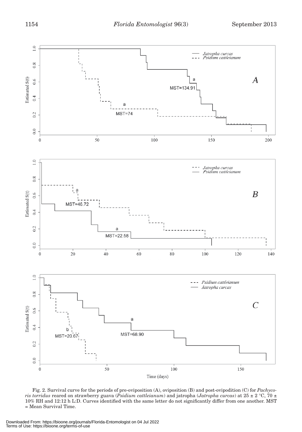

Fig. 2. Survival curve for the periods of pre-oviposition (A), oviposition (B) and post-ovipodition (C) for *Pachycoris torridus* reared on strawberry guava (*Psidium cattleianum*) and jatropha (*Jatropha curcas*) at 25 ± 2 °C, 70 ± 10% RH and 12:12 h L:D. Curves identified with the same letter do not significantly differ from one another. MST = Mean Survival Time.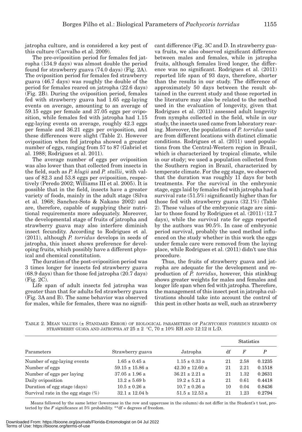jatropha culture, and is considered a key pest of

this culture (Carvalho et al. 2009). The pre-oviposition period for females fed jatropha (134.9 days) was almost double the period found for strawberry guava (74.0 days) (Fig. 2A). The oviposition period for females fed strawberry guava (46.7 days) was roughly the double of the period for females reared on jatropha (22.6 days) (Fig. 2B). During the oviposition period, females fed with strawberry guava had 1.65 egg-laying events on average, amounting to an average of 59.15 eggs per female and 37.05 eggs per oviposition, while females fed with jatropha had 1.15 egg-laying events on average, roughly 42.3 eggs per female and 36.21 eggs per oviposition, and these differences were slight (Table 2). However oviposition when fed jatropha showed a greater number of eggs, ranging from 57 to 87 (Gabriel et al. 1988; Rodrigues et al. 2011).

The average number of eggs per oviposition was also lower than that collected from insects in the field, such as *P. klugii* and *P. stallii*, with values of 82.3 and 53.8 eggs per oviposition, respectively (Peredo 2002; Williams III et al. 2005). It is possible that in the field, insects have a greater variety of foods, mainly in the adult stage (Silva et al. 1968; Sanchez-Soto & Nakano 2002) and are, therefore, capable of supplying their nutritional requirements more adequately. Moreover, the developmental stage of fruits of jatropha and strawberry guava may also interfere diminish insect fecundity. According to Rodrigues et al. (2011), although *P. torridus* develops in seeds of jatropha, this insect shows preference for developing fruits, which possibly have a different physical and chemical constitution.

The duration of the post-oviposition period was 3 times longer for insects fed strawberry guava (68.9 days) than for those fed jatropha (20.7 days) (Fig. 2C).

Life span of adult insects fed jatropha was greater than that for adults fed strawberry guava (Fig. 3A and B). The same behavior was observed for males, while for females, there was no significant difference (Fig. 3C and D. In strawberry guava fruits, we also observed significant difference between males and females, while in jatropha fruits, although females lived longer, the difference was no significant. Rodrigues et al. (2011) reported life span of 93 days, therefore, shorter than the results in our study. The difference of approximately 50 days between the result obtained in the current study and those reported in the literature may also be related to the method used in the evaluation of longevity, given that Rodrigues et al. (2011) assessed adult longevity from nymphs collected in the field, while in our study, the insects used came from laboratory rearing. Moreover, the populations of *P. torridus* used are from different locations with distinct climatic conditions. Rodrigues et al. (2011) used populations from the Central-Western region in Brazil, which is characterized by tropical climate, while in our study; we used a population collected from the Southern region in Brazil, characterized by temperate climate. For the egg stage, we observed that the duration was roughly 11 days for both treatments. For the survival in the embryonic stage, eggs laid by females fed with jatropha had a survival rate (51.5%) significantly higher than for those fed with strawberry guava (32.1%) (Table 2). These values of the embryonic stage are similar to those found by Rodrigues et al. (2011) (12.7 days), while the survival rate for eggs reported by the authors was 90.5%. In case of embryonic period survival, probably the used method influenced on the study whether in this work the eggs under female care were removed from the laying place, while Rodrigues et al. (2011) didn't use this procedure.

Thus, the fruits of strawberry guava and jatropha are adequate for the development and reproduction of *P. torridus*, however, this stinkbug shows greater weights for males and females and longer life span when fed with jatropha. Therefore, the management of this insect pest in jatropha cultivations should take into account the control of this pest in other hosts as well, such as strawberry

TABLE 2. MEAN VALUES (± STANDARD ERROR) OF BIOLOGICAL PARAMETERS OF *PACHYCORIS TORRIDUS* REARED ON STRAWBERRY GUAVA AND JATROPHA AT  $25 \pm 2$  °C,  $70 \pm 10\%$  RH AND 12:12 H L:D.

|                                       |                     |                     | <b>Statistics</b> |      |        |
|---------------------------------------|---------------------|---------------------|-------------------|------|--------|
| Parameters                            | Strawberry guava    | Jatropha            | df                | F    | P      |
| Number of egg-laying events           | $1.65 \pm 0.45$ a   | $1.15 \pm 0.33$ a   | 21                | 2.58 | 0.1235 |
| Number of eggs                        | $59.15 \pm 15.86$ a | $42.30 \pm 12.60$ a | 21                | 2.21 | 0.1518 |
| Number of eggs per laying             | $37.05 \pm 1.96$ a  | $36.21 \pm 2.21$ a  | 21                | 1.32 | 0.2631 |
| Daily oviposition                     | $13.2 \pm 5.69$ b   | $19.2 \pm 5.21$ a   | 21                | 0.61 | 0.4418 |
| Duration of egg stage (days)          | $10.5 \pm 0.26$ a   | $10.7 \pm 0.26$ a   | 10                | 0.04 | 0.8436 |
| Survival rate in the egg stage $(\%)$ | $32.1 \pm 12.04$ b  | $51.5 \pm 12.53$ a  | 21                | 1.23 | 0.2794 |

Means followed by the same letter (lowercase in the row and uppercase in the column) do not differ in the Student's t test, protected by the  $F$  significance at 5% probability. \*\*df = degrees of freedom.

Downloaded From: https://bioone.org/journals/Florida-Entomologist on 04 Jul 2022 Terms of Use: https://bioone.org/terms-of-use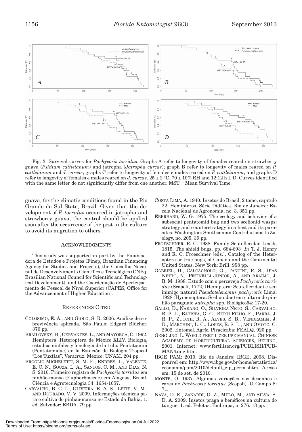

Fig. 3. Survival curves for *Pachycoris torridus*. Graphs A refer to longevity of females reared on strawberry guava (*Psidium cattleianum*) and jatropha (*Jatropha curcas*); graph B refer to longevity of males reared on *P. cattleianum* and *J. curcas*; graphs C refer to longevity of females e males reared on *P. cattleianum*; and graphs D refer to longevity of females e males reared on *J. curcas*. 25 ± 2 °C, 70 ± 10% RH and 12:12 h L:D. Curves identified with the same letter do not significantly differ from one another. MST = Mean Survival Time.

guava, for the climatic conditions found in the Rio Grande do Sul State, Brazil. Given that the development of *P. torridus* occurred in jatropha and strawberry guava, the control should be applied soon after the occurrence of the pest in the culture to avoid its migration to others.

#### ACKNOWLEDGMENTS

This study was supported in part by the Financiadora de Estudos e Projetos (Finep, Brazilian Financing Agency for Studies and Projects), the Conselho Nacional de Desenvolvimento Científico e Tecnológico (CNPq, Brazilian National Council for Scientific and Technological Development), and the Coordenação de Aperfeiçoamento de Pessoal de Nível Superior (CAPES, Office for the Advancement of Higher Education).

#### REFERENCES CITED

- COLOSIMO, E. A., AND GIOLO, S. R. 2006. Análise de sobrevivência aplicada. São Paulo: Edgard Blücher, 370 pp.
- BRAILOVSKY, H., CERVANTES, L., AND MAYORGA, C. 1992. Hemiptera: Heteroptera de México XLIV. Biología, estadios ninfales y fenologia de la tribu Pentatomini (Pentatomidae) en la Estación de Biología Tropical "Los Tuxtlas", Veracruz. México: UNAM. 204 pp.
- BROGLIO-MICHELETTI, S. M. F., ENDRES, L., VALENTE, E. C. N., SOUZA, L. A., SANTOS, C. M., AND DIAS, N. S. 2010. Primeiro registro de *Pachycoris torridus* em pinhão-manso (Euphorbiaceae) em Alagoas, Brasil. Ciência e Agrotecnologia 34: 1654-1657.
- CARVALHO, B. C. L., OLIVEIRA, E. A. S., LEITE, V. M., AND DOURADO, V. V. 2009. Informações técnicas para o cultivo do pinhão-manso no Estado da Bahia. 1. ed. Salvador: EBDA. 79 pp.
- COSTA LIMA, A. 1940. Insetos do Brasil, 2 tomo, capítulo 22, Hemípteros. Série Didática. Rio de Janeiro: Escola Nacional de Agronomia, no. 3. 351 pp.
- EBERHARD, W. G. 1975. The ecology and behavior of a subsocial pentatomid bug and two scelionid wasps: strategy and counterstrategy in a host and its parasites. Washington: Smithsonian Contributions to Zoology, no. 205. 39 pp.
- FROESCHNER, R. C. 1988. Family Scutelleridae Leach, 1815. The shield bugs, pp. 684-693 *In* T. J. Henry and R. C. Froeschner [eds.], Catalog of the Heteroptera or true bugs, of Canada and the Continental United States. New York: Brill. 958 pp.
- GABRIEL, D., CALCAGNOLO, G., TANCINI, R. S., DIAS NETTO, N., PETINELLI JÚNIOR, A., AND ARAÚJO, J. B. M. 1988. Estudo com o percevejo *Pachycoris torridus* (Scopoli, 1772) (Hemiptera: Scutelleridae) e seu inimigo natural *Pseudotelenomus pachycoris* Lima, 1928 (Hymenoptera: Scelionidae) em cultura do pinhão paraguaio *Jatropha* spp. Biológico54: 17-20.
- GALLO, D., NAKANO, O., SILVEIRA NETO, S., CARVALHO, R. P. L., BATISTA, G. C., BERTI FILHO, E., PARRA, J. R. P., ZUCCHI, R. A., ALVES, S. B., VENDRAMIM, J. D., MARCHINI, L. C., LOPES, R. S. L., AND OMOTO, C. 2002. Entomol. Agríc. Piracicaba: FEALQ. 920 pp.
- GENGLING, L. WORLD FERTILIZER USE MANUAL. CHINESE ACADEMY OF HORTICULTURAL SCIENCES, BEIJING, 2001. Internet: www.fertilizer.org/PUBLISH/PUB-MAN/tung.htm.
- IBGE PAM: 2010. Rio de Janeiro: IBGE, 2008. Disponível em: http://www.ibge.gov.br/home/estatistica/ economia/pam/2010/default\_zip\_perm.shtm. Acesso em: 15 de set. de 2010.
- MONTE, O. 1937. Algumas variações nos desenhos e cores de *Pachycoris torridus* (Scopoli). O Campo 8: 71.
- NAVA, D. E., ZANARDI, O. Z., MELO, M., AND SILVA, S. D. A. 2009. Insetos praga e benéficos na cultura do tungue. 1. ed. Pelotas: Embrapa, n. 276. 13 pp.